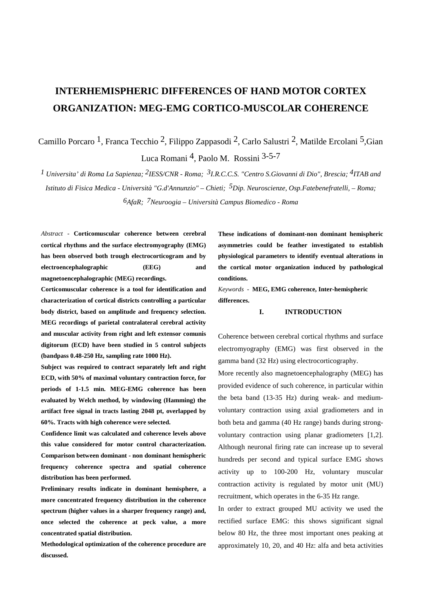# **INTERHEMISPHERIC DIFFERENCES OF HAND MOTOR CORTEX ORGANIZATION: MEG-EMG CORTICO-MUSCOLAR COHERENCE**

Camillo Porcaro 1, Franca Tecchio 2, Filippo Zappasodi 2, Carlo Salustri 2, Matilde Ercolani 5,Gian Luca Romani 4, Paolo M. Rossini 3-5-7

*1 Universita' di Roma La Sapienza; 2IESS/CNR - Roma; 3I.R.C.C.S. "Centro S.Giovanni di Dio", Brescia; 4ITAB and Istituto di Fisica Medica - Università "G.d'Annunzio" – Chieti; 5Dip. Neuroscienze, Osp.Fatebenefratelli, – Roma; 6AfaR; 7Neuroogia – Università Campus Biomedico - Roma*

*Abstract -* **Corticomuscular coherence between cerebral cortical rhythms and the surface electromyography (EMG) has been observed both trough electrocorticogram and by electroencephalographic (EEG) and magnetoencephalographic (MEG) recordings.**

**Corticomuscular coherence is a tool for identification and characterization of cortical districts controlling a particular body district, based on amplitude and frequency selection. MEG recordings of parietal contralateral cerebral activity and muscular activity from right and left extensor comunis digitorum (ECD) have been studied in 5 control subjects (bandpass 0.48-250 Hz, sampling rate 1000 Hz).**

**Subject was required to contract separately left and right ECD, with 50% of maximal voluntary contraction force, for periods of 1-1.5 min. MEG-EMG coherence has been evaluated by Welch method, by windowing (Hamming) the artifact free signal in tracts lasting 2048 pt, overlapped by 60%. Tracts with high coherence were selected.**

**Confidence limit was calculated and coherence levels above this value considered for motor control characterization. Comparison between dominant - non dominant hemispheric frequency coherence spectra and spatial coherence distribution has been performed.**

**Preliminary results indicate in dominant hemisphere, a more concentrated frequency distribution in the coherence spectrum (higher values in a sharper frequency range) and, once selected the coherence at peck value, a more concentrated spatial distribution.**

**Methodological optimization of the coherence procedure are discussed.**

**These indications of dominant-non dominant hemispheric asymmetries could be feather investigated to establish physiological parameters to identify eventual alterations in the cortical motor organization induced by pathological conditions.**

*Keywords* -**MEG, EMG coherence, Inter-hemispheric differences.**

## **I. INTRODUCTION**

Coherence between cerebral cortical rhythms and surface electromyography (EMG) was first observed in the gamma band (32 Hz) using electrocorticography.

More recently also magnetoencephalography (MEG) has provided evidence of such coherence, in particular within the beta band (13-35 Hz) during weak- and mediumvoluntary contraction using axial gradiometers and in both beta and gamma (40 Hz range) bands during strongvoluntary contraction using planar gradiometers [1,2]. Although neuronal firing rate can increase up to several hundreds per second and typical surface EMG shows activity up to 100-200 Hz, voluntary muscular contraction activity is regulated by motor unit (MU) recruitment, which operates in the 6-35 Hz range.

In order to extract grouped MU activity we used the rectified surface EMG: this shows significant signal below 80 Hz, the three most important ones peaking at approximately 10, 20, and 40 Hz: alfa and beta activities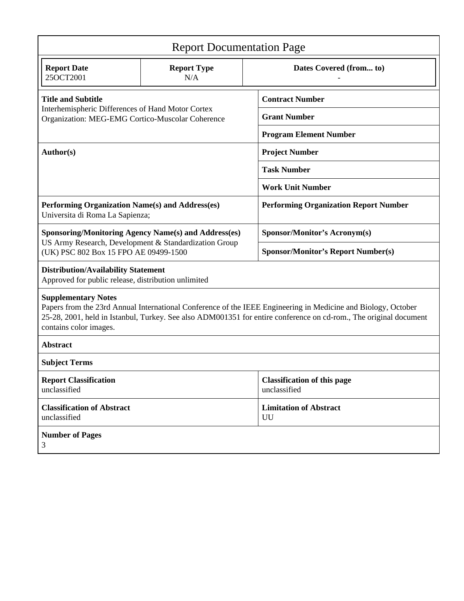| <b>Report Documentation Page</b>                                                                                                                                                                                                                                                           |                           |                                                    |
|--------------------------------------------------------------------------------------------------------------------------------------------------------------------------------------------------------------------------------------------------------------------------------------------|---------------------------|----------------------------------------------------|
| <b>Report Date</b><br>25OCT2001                                                                                                                                                                                                                                                            | <b>Report Type</b><br>N/A | Dates Covered (from to)                            |
| <b>Title and Subtitle</b><br>Interhemispheric Differences of Hand Motor Cortex<br>Organization: MEG-EMG Cortico-Muscolar Coherence                                                                                                                                                         |                           | <b>Contract Number</b>                             |
|                                                                                                                                                                                                                                                                                            |                           | <b>Grant Number</b>                                |
|                                                                                                                                                                                                                                                                                            |                           | <b>Program Element Number</b>                      |
| Author(s)                                                                                                                                                                                                                                                                                  |                           | <b>Project Number</b>                              |
|                                                                                                                                                                                                                                                                                            |                           | <b>Task Number</b>                                 |
|                                                                                                                                                                                                                                                                                            |                           | <b>Work Unit Number</b>                            |
| Performing Organization Name(s) and Address(es)<br>Universita di Roma La Sapienza;                                                                                                                                                                                                         |                           | <b>Performing Organization Report Number</b>       |
| <b>Sponsoring/Monitoring Agency Name(s) and Address(es)</b><br>US Army Research, Development & Standardization Group<br>(UK) PSC 802 Box 15 FPO AE 09499-1500                                                                                                                              |                           | <b>Sponsor/Monitor's Acronym(s)</b>                |
|                                                                                                                                                                                                                                                                                            |                           | <b>Sponsor/Monitor's Report Number(s)</b>          |
| <b>Distribution/Availability Statement</b><br>Approved for public release, distribution unlimited                                                                                                                                                                                          |                           |                                                    |
| <b>Supplementary Notes</b><br>Papers from the 23rd Annual International Conference of the IEEE Engineering in Medicine and Biology, October<br>25-28, 2001, held in Istanbul, Turkey. See also ADM001351 for entire conference on cd-rom., The original document<br>contains color images. |                           |                                                    |
| <b>Abstract</b>                                                                                                                                                                                                                                                                            |                           |                                                    |
| <b>Subject Terms</b>                                                                                                                                                                                                                                                                       |                           |                                                    |
| <b>Report Classification</b><br>unclassified                                                                                                                                                                                                                                               |                           | <b>Classification of this page</b><br>unclassified |
| <b>Classification of Abstract</b><br>unclassified                                                                                                                                                                                                                                          |                           | <b>Limitation of Abstract</b><br>UU                |
| <b>Number of Pages</b><br>3                                                                                                                                                                                                                                                                |                           |                                                    |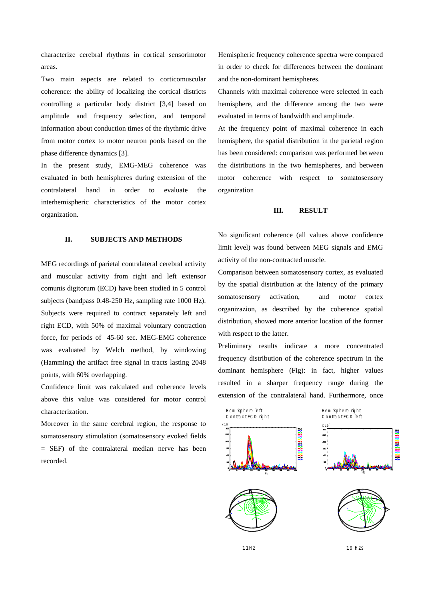characterize cerebral rhythms in cortical sensorimotor areas.

Two main aspects are related to corticomuscular coherence: the ability of localizing the cortical districts controlling a particular body district [3,4] based on amplitude and frequency selection, and temporal information about conduction times of the rhythmic drive from motor cortex to motor neuron pools based on the phase difference dynamics [3].

In the present study, EMG-MEG coherence was evaluated in both hemispheres during extension of the contralateral hand in order to evaluate the interhemispheric characteristics of the motor cortex organization.

## **II. SUBJECTS AND METHODS**

MEG recordings of parietal contralateral cerebral activity and muscular activity from right and left extensor comunis digitorum (ECD) have been studied in 5 control subjects (bandpass 0.48-250 Hz, sampling rate 1000 Hz). Subjects were required to contract separately left and right ECD, with 50% of maximal voluntary contraction force, for periods of 45-60 sec. MEG-EMG coherence was evaluated by Welch method, by windowing (Hamming) the artifact free signal in tracts lasting 2048 points, with 60% overlapping.

Confidence limit was calculated and coherence levels above this value was considered for motor control characterization.

Moreover in the same cerebral region, the response to somatosensory stimulation (somatosensory evoked fields = SEF) of the contralateral median nerve has been recorded.

Hemispheric frequency coherence spectra were compared in order to check for differences between the dominant and the non-dominant hemispheres.

Channels with maximal coherence were selected in each hemisphere, and the difference among the two were evaluated in terms of bandwidth and amplitude.

At the frequency point of maximal coherence in each hemisphere, the spatial distribution in the parietal region has been considered: comparison was performed between the distributions in the two hemispheres, and between motor coherence with respect to somatosensory organization

### **III. RESULT**

No significant coherence (all values above confidence limit level) was found between MEG signals and EMG activity of the non-contracted muscle.

Comparison between somatosensory cortex, as evaluated by the spatial distribution at the latency of the primary somatosensory activation, and motor cortex organizazion, as described by the coherence spatial distribution, showed more anterior location of the former with respect to the latter.

Preliminary results indicate a more concentrated frequency distribution of the coherence spectrum in the dominant hemisphere (Fig): in fact, higher values resulted in a sharper frequency range during the extension of the contralateral hand. Furthermore, once